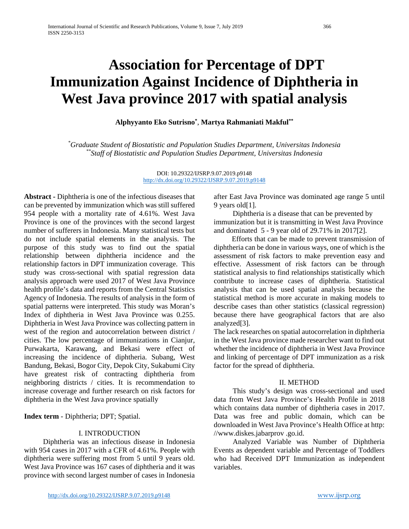# **Association for Percentage of DPT Immunization Against Incidence of Diphtheria in West Java province 2017 with spatial analysis**

**Alphyyanto Eko Sutrisno\*** , **Martya Rahmaniati Makful\*\***

*\* Graduate Student of Biostatistic and Population Studies Department, Universitas Indonesia \*\*Staff of Biostatistic and Population Studies Department, Universitas Indonesia*

> DOI: 10.29322/IJSRP.9.07.2019.p9148 <http://dx.doi.org/10.29322/IJSRP.9.07.2019.p9148>

**Abstract -** Diphtheria is one of the infectious diseases that can be prevented by immunization which was still suffered 954 people with a mortality rate of 4.61%. West Java Province is one of the provinces with the second largest number of sufferers in Indonesia. Many statistical tests but do not include spatial elements in the analysis. The purpose of this study was to find out the spatial relationship between diphtheria incidence and the relationship factors in DPT immunization coverage. This study was cross-sectional with spatial regression data analysis approach were used 2017 of West Java Province health profile's data and reports from the Central Statistics Agency of Indonesia. The results of analysis in the form of spatial patterns were interpreted. This study was Moran's Index of diphtheria in West Java Province was 0.255. Diphtheria in West Java Province was collecting pattern in west of the region and autocorrelation between district / cities. The low percentage of immunizations in Cianjur, Purwakarta, Karawang, and Bekasi were effect of increasing the incidence of diphtheria. Subang, West Bandung, Bekasi, Bogor City, Depok City, Sukabumi City have greatest risk of contracting diphtheria from neighboring districts / cities. It is recommendation to increase coverage and further research on risk factors for diphtheria in the West Java province spatially

**Index term** - Diphtheria; DPT; Spatial.

# I. INTRODUCTION

Diphtheria was an infectious disease in Indonesia with 954 cases in 2017 with a CFR of 4.61%. People with diphtheria were suffering most from 5 until 9 years old. West Java Province was 167 cases of diphtheria and it was province with second largest number of cases in Indonesia after East Java Province was dominated age range 5 until 9 years old[1].

Diphtheria is a disease that can be prevented by immunization but it is transmitting in West Java Province and dominated 5 - 9 year old of 29.71% in 2017[2].

Efforts that can be made to prevent transmission of diphtheria can be done in various ways, one of which is the assessment of risk factors to make prevention easy and effective. Assessment of risk factors can be through statistical analysis to find relationships statistically which contribute to increase cases of diphtheria. Statistical analysis that can be used spatial analysis because the statistical method is more accurate in making models to describe cases than other statistics (classical regression) because there have geographical factors that are also analyzed[3].

The lack researches on spatial autocorrelation in diphtheria in the West Java province made researcher want to find out whether the incidence of diphtheria in West Java Province and linking of percentage of DPT immunization as a risk factor for the spread of diphtheria.

# II. METHOD

This study's design was cross-sectional and used data from West Java Province's Health Profile in 2018 which contains data number of diphtheria cases in 2017. Data was free and public domain, which can be downloaded in West Java Province's Health Office at http: //www.diskes.jabarprov .go.id.

Analyzed Variable was Number of Diphtheria Events as dependent variable and Percentage of Toddlers who had Received DPT Immunization as independent variables.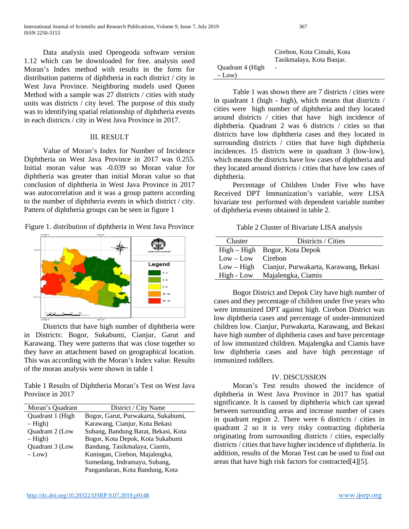International Journal of Scientific and Research Publications, Volume 9, Issue 7, July 2019 367 ISSN 2250-3153

Data analysis used Opengeoda software version 1.12 which can be downloaded for free. analysis used Moran's Index method with results in the form for distribution patterns of diphtheria in each district / city in West Java Province. Neighboring models used Queen Method with a sample was 27 districts / cities with study units was districts / city level. The purpose of this study was to identifying spatial relationship of diphtheria events in each districts / city in West Java Province in 2017.

### III. RESULT

Value of Moran's Index for Number of Incidence Diphtheria on West Java Province in 2017 was 0.255. Initial moran value was -0.039 so Moran value for diphtheria was greater than initial Moran value so that conclusion of diphtheria in West Java Province in 2017 was autocorrelation and it was a group pattern according to the number of diphtheria events in which district / city. Pattern of diphtheria groups can be seen in figure 1





Districts that have high number of diphtheria were in Districts: Bogor, Sukabumi, Cianjur, Garut and Karawang. They were patterns that was close together so they have an attachment based on geographical location. This was according with the Moran's Index value. Results of the moran analysis were shown in table 1

Table 1 Results of Diphtheria Moran's Test on West Java Province in 2017

| Moran's Quadrant       | District / City Name                |
|------------------------|-------------------------------------|
| Quadrant 1 (High       | Bogor, Garut, Purwakarta, Sukabumi, |
| $-$ High)              | Karawang, Cianjur, Kota Bekasi      |
| Quadrant 2 (Low        | Subang, Bandung Barat, Bekasi, Kota |
| $-$ High)              | Bogor, Kota Depok, Kota Sukabumi    |
| <b>Ouadrant 3 (Low</b> | Bandung, Tasikmalaya, Ciamis,       |
| $-Low$                 | Kuningan, Cirebon, Majalengka,      |
|                        | Sumedang, Indramayu, Subang,        |
|                        | Pangandaran, Kota Bandung, Kota     |

|                  | Cirebon, Kota Cimahi, Kota |
|------------------|----------------------------|
|                  | Tasikmalaya, Kota Banjar.  |
| Quadrant 4 (High | $\qquad \qquad -$          |
| $-Low$ )         |                            |

Table 1 was shown there are 7 districts / cities were in quadrant 1 (high - high), which means that districts / cities were high number of diphtheria and they located around districts / cities that have high incidence of diphtheria. Quadrant 2 was 6 districts / cities so that districts have low diphtheria cases and they located in surrounding districts / cities that have high diphtheria incidences. 15 districts were in quadrant 3 (low-low), which means the districts have low cases of diphtheria and they located around districts / cities that have low cases of diphtheria.

Percentage of Children Under Five who have Received DPT Immunization's variable, were LISA bivariate test performed with dependent variable number of diphtheria events obtained in table 2.

Table 2 Cluster of Bivariate LISA analysis

| Cluster             | Districts / Cities                    |
|---------------------|---------------------------------------|
|                     | High – High Bogor, Kota Depok         |
| $Low - Low$ Cirebon |                                       |
| $Low - High$        | Cianjur, Purwakarta, Karawang, Bekasi |
| High - Low          | Majalengka, Ciamis                    |

Bogor District and Depok City have high number of cases and they percentage of children under five years who were immunized DPT against high. Cirebon District was low diphtheria cases and percentage of under-immunized children low. Cianjur, Purwakarta, Karawang, and Bekasi have high number of diphtheria cases and have percentage of low immunized children. Majalengka and Ciamis have low diphtheria cases and have high percentage of immunized toddlers.

#### IV. DISCUSSION

Moran's Test results showed the incidence of diphtheria in West Java Province in 2017 has spatial significance. It is caused by diphtheria which can spread between surrounding areas and increase number of cases in quadrant region 2. There were 6 districts / cities in quadrant 2 so it is very risky contracting diphtheria originating from surrounding districts / cities, especially districts / cities that have higher incidence of diphtheria. In addition, results of the Moran Test can be used to find out areas that have high risk factors for contracted[4][5].